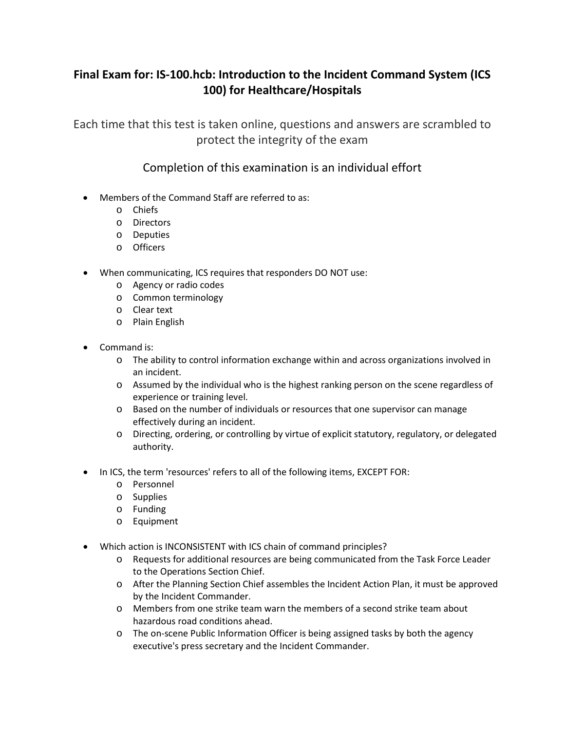## **Final Exam for: IS-100.hcb: Introduction to the Incident Command System (ICS 100) for Healthcare/Hospitals**

Each time that this test is taken online, questions and answers are scrambled to protect the integrity of the exam

## Completion of this examination is an individual effort

- Members of the Command Staff are referred to as:
	- o Chiefs
	- o Directors
	- o Deputies
	- o Officers
- When communicating, ICS requires that responders DO NOT use:
	- o Agency or radio codes
	- o Common terminology
	- o Clear text
	- o Plain English
- Command is:
	- o The ability to control information exchange within and across organizations involved in an incident.
	- o Assumed by the individual who is the highest ranking person on the scene regardless of experience or training level.
	- o Based on the number of individuals or resources that one supervisor can manage effectively during an incident.
	- o Directing, ordering, or controlling by virtue of explicit statutory, regulatory, or delegated authority.
- In ICS, the term 'resources' refers to all of the following items, EXCEPT FOR:
	- o Personnel
	- o Supplies
	- o Funding
	- o Equipment
- Which action is INCONSISTENT with ICS chain of command principles?
	- o Requests for additional resources are being communicated from the Task Force Leader to the Operations Section Chief.
	- o After the Planning Section Chief assembles the Incident Action Plan, it must be approved by the Incident Commander.
	- o Members from one strike team warn the members of a second strike team about hazardous road conditions ahead.
	- o The on-scene Public Information Officer is being assigned tasks by both the agency executive's press secretary and the Incident Commander.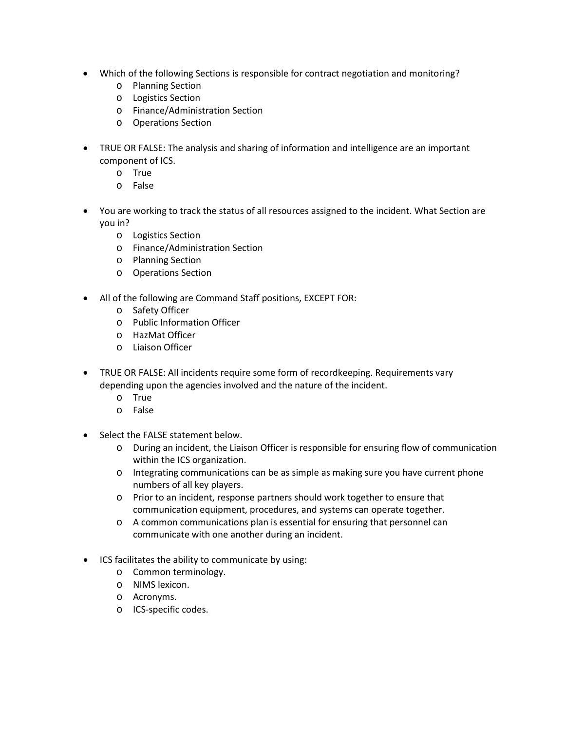- Which of the following Sections is responsible for contract negotiation and monitoring?
	- o Planning Section
	- o Logistics Section
	- o Finance/Administration Section
	- o Operations Section
- TRUE OR FALSE: The analysis and sharing of information and intelligence are an important component of ICS.
	- o True
	- o False
- You are working to track the status of all resources assigned to the incident. What Section are you in?
	- o Logistics Section
	- o Finance/Administration Section
	- o Planning Section
	- o Operations Section
- All of the following are Command Staff positions, EXCEPT FOR:
	- o Safety Officer
	- o Public Information Officer
	- o HazMat Officer
	- o Liaison Officer
- TRUE OR FALSE: All incidents require some form of recordkeeping. Requirements vary depending upon the agencies involved and the nature of the incident.
	- o True
	- o False
- Select the FALSE statement below.
	- o During an incident, the Liaison Officer is responsible for ensuring flow of communication within the ICS organization.
	- o Integrating communications can be as simple as making sure you have current phone numbers of all key players.
	- o Prior to an incident, response partners should work together to ensure that communication equipment, procedures, and systems can operate together.
	- o A common communications plan is essential for ensuring that personnel can communicate with one another during an incident.
- ICS facilitates the ability to communicate by using:
	- o Common terminology.
	- o NIMS lexicon.
	- o Acronyms.
	- o ICS-specific codes.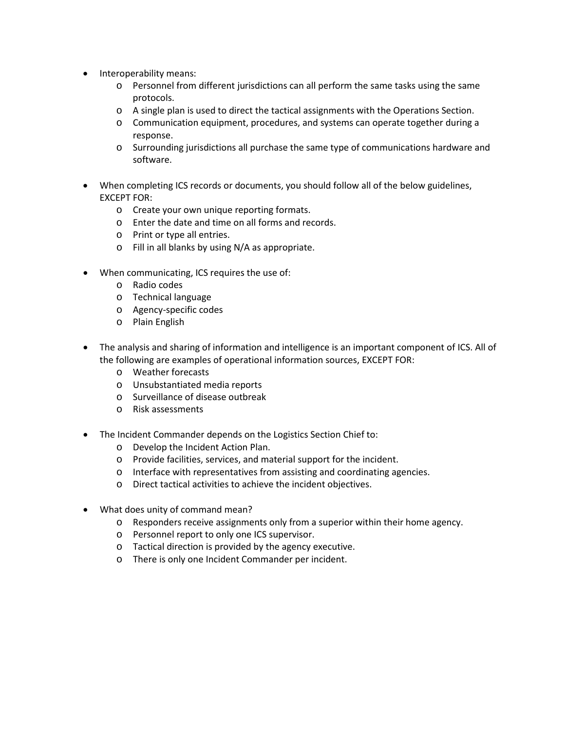- Interoperability means:
	- o Personnel from different jurisdictions can all perform the same tasks using the same protocols.
	- o A single plan is used to direct the tactical assignments with the Operations Section.
	- o Communication equipment, procedures, and systems can operate together during a response.
	- o Surrounding jurisdictions all purchase the same type of communications hardware and software.
- When completing ICS records or documents, you should follow all of the below guidelines, EXCEPT FOR:
	- o Create your own unique reporting formats.
	- o Enter the date and time on all forms and records.
	- o Print or type all entries.
	- o Fill in all blanks by using N/A as appropriate.
- When communicating, ICS requires the use of:
	- o Radio codes
	- o Technical language
	- o Agency-specific codes
	- o Plain English
- The analysis and sharing of information and intelligence is an important component of ICS. All of the following are examples of operational information sources, EXCEPT FOR:
	- o Weather forecasts
	- o Unsubstantiated media reports
	- o Surveillance of disease outbreak
	- o Risk assessments
- The Incident Commander depends on the Logistics Section Chief to:
	- o Develop the Incident Action Plan.
	- o Provide facilities, services, and material support for the incident.
	- o Interface with representatives from assisting and coordinating agencies.
	- o Direct tactical activities to achieve the incident objectives.
- What does unity of command mean?
	- o Responders receive assignments only from a superior within their home agency.
	- o Personnel report to only one ICS supervisor.
	- o Tactical direction is provided by the agency executive.
	- o There is only one Incident Commander per incident.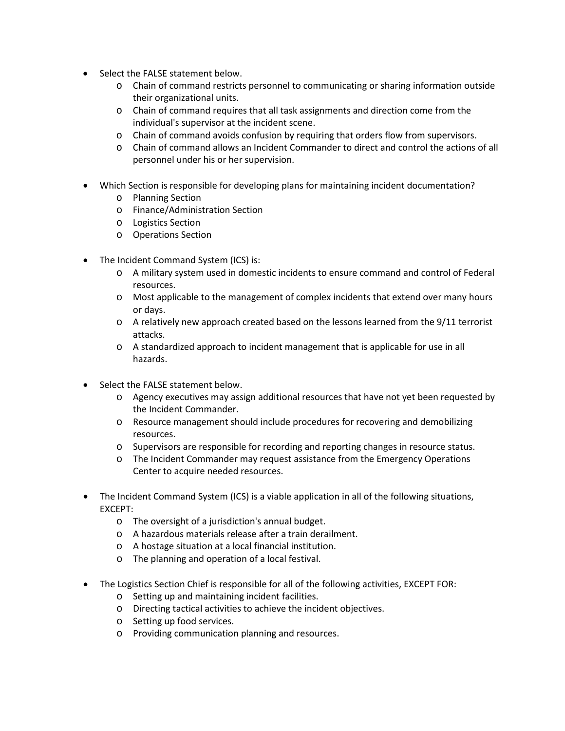- Select the FALSE statement below.
	- o Chain of command restricts personnel to communicating or sharing information outside their organizational units.
	- o Chain of command requires that all task assignments and direction come from the individual's supervisor at the incident scene.
	- o Chain of command avoids confusion by requiring that orders flow from supervisors.
	- o Chain of command allows an Incident Commander to direct and control the actions of all personnel under his or her supervision.
- Which Section is responsible for developing plans for maintaining incident documentation?
	- o Planning Section
	- o Finance/Administration Section
	- o Logistics Section
	- o Operations Section
- The Incident Command System (ICS) is:
	- o A military system used in domestic incidents to ensure command and control of Federal resources.
	- o Most applicable to the management of complex incidents that extend over many hours or days.
	- o A relatively new approach created based on the lessons learned from the 9/11 terrorist attacks.
	- o A standardized approach to incident management that is applicable for use in all hazards.
- Select the FALSE statement below.
	- o Agency executives may assign additional resources that have not yet been requested by the Incident Commander.
	- o Resource management should include procedures for recovering and demobilizing resources.
	- o Supervisors are responsible for recording and reporting changes in resource status.
	- o The Incident Commander may request assistance from the Emergency Operations Center to acquire needed resources.
- The Incident Command System (ICS) is a viable application in all of the following situations, EXCEPT:
	- o The oversight of a jurisdiction's annual budget.
	- o A hazardous materials release after a train derailment.
	- o A hostage situation at a local financial institution.
	- o The planning and operation of a local festival.
- The Logistics Section Chief is responsible for all of the following activities, EXCEPT FOR:
	- o Setting up and maintaining incident facilities.
	- o Directing tactical activities to achieve the incident objectives.
	- o Setting up food services.
	- o Providing communication planning and resources.